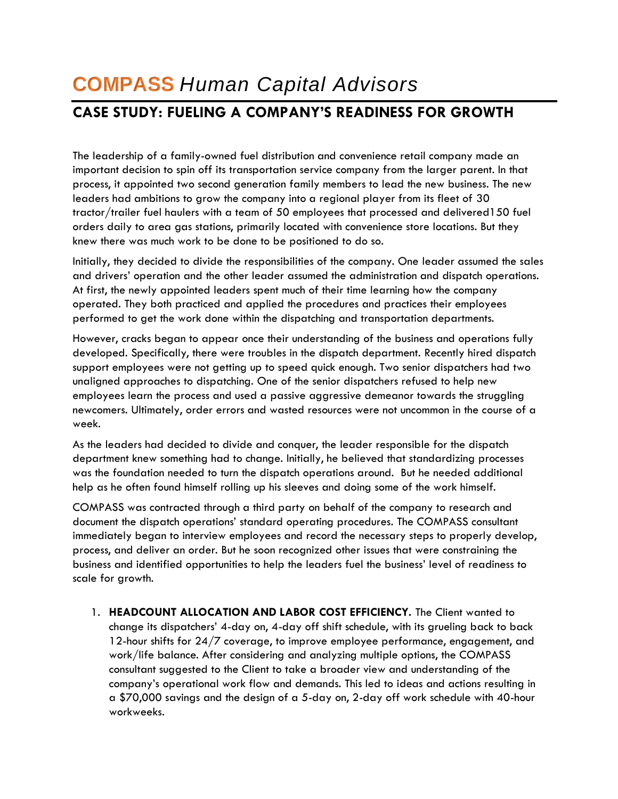## **COMPASS** *Human Capital Advisors*

## **CASE STUDY: FUELING A COMPANY'S READINESS FOR GROWTH**

The leadership of a family-owned fuel distribution and convenience retail company made an important decision to spin off its transportation service company from the larger parent. In that process, it appointed two second generation family members to lead the new business. The new leaders had ambitions to grow the company into a regional player from its fleet of 30 tractor/trailer fuel haulers with a team of 50 employees that processed and delivered150 fuel orders daily to area gas stations, primarily located with convenience store locations. But they knew there was much work to be done to be positioned to do so.

Initially, they decided to divide the responsibilities of the company. One leader assumed the sales and drivers' operation and the other leader assumed the administration and dispatch operations. At first, the newly appointed leaders spent much of their time learning how the company operated. They both practiced and applied the procedures and practices their employees performed to get the work done within the dispatching and transportation departments.

However, cracks began to appear once their understanding of the business and operations fully developed. Specifically, there were troubles in the dispatch department. Recently hired dispatch support employees were not getting up to speed quick enough. Two senior dispatchers had two unaligned approaches to dispatching. One of the senior dispatchers refused to help new employees learn the process and used a passive aggressive demeanor towards the struggling newcomers. Ultimately, order errors and wasted resources were not uncommon in the course of a week.

As the leaders had decided to divide and conquer, the leader responsible for the dispatch department knew something had to change. Initially, he believed that standardizing processes was the foundation needed to turn the dispatch operations around. But he needed additional help as he often found himself rolling up his sleeves and doing some of the work himself.

COMPASS was contracted through a third party on behalf of the company to research and document the dispatch operations' standard operating procedures. The COMPASS consultant immediately began to interview employees and record the necessary steps to properly develop, process, and deliver an order. But he soon recognized other issues that were constraining the business and identified opportunities to help the leaders fuel the business' level of readiness to scale for growth.

1. **HEADCOUNT ALLOCATION AND LABOR COST EFFICIENCY.** The Client wanted to change its dispatchers' 4-day on, 4-day off shift schedule, with its grueling back to back 12-hour shifts for 24/7 coverage, to improve employee performance, engagement, and work/life balance. After considering and analyzing multiple options, the COMPASS consultant suggested to the Client to take a broader view and understanding of the company's operational work flow and demands. This led to ideas and actions resulting in a \$70,000 savings and the design of a 5-day on, 2-day off work schedule with 40-hour workweeks.